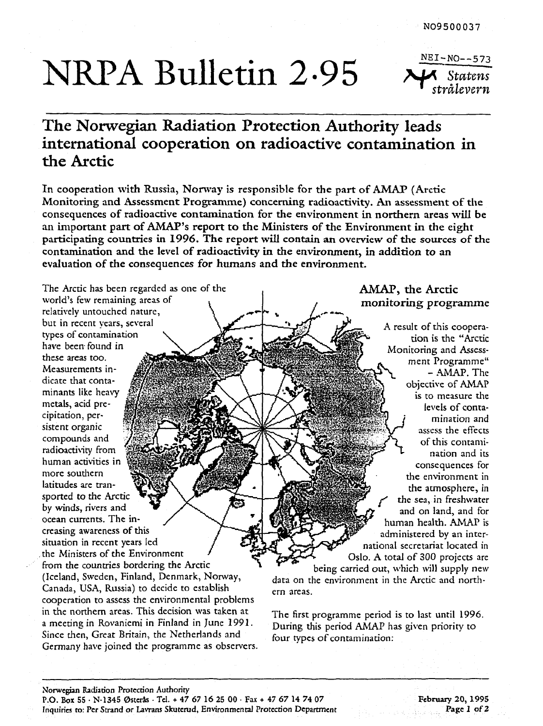# NRPA Bulletin 2.95

 $NEI-NO--573$ *Statens strålevern* 

# **The Norwegian Radiation Protection Authority leads international cooperation on radioactive contamination in the Arctic**

**In cooperation with Russia, Norway is responsible for the part of AMAP (Arctic**  Monitoring and Assessment Programme) concerning radioactivity. An assessment of the **consequences of radioactive contamination for the environment in northern areas will be an important part of AMAP's report to the Ministers of the Environment in the eight participating countries in 1996. The report will contain an overview of the sources of the contamination and the level of radioactivity in the environment, in addition to an evaluation of the consequences for humans and the environment.** 

The Arctic has been regarded as one of the world's few remaining areas of relatively untouched nature, but in recent years, several types of contamination have been found in these areas too. Measurements indicate that contaminants like heavy metals, acid precipitation, persistent organic compounds and radioactivity from human activities in more southern latitudes are transported to the Arctic by winds, rivers and ocean currents. The increasing awareness of this situation in recent years led . the Ministers of the Environment from the countries bordering the Arctic (Iceland, Sweden, Finland, Denmark, Norway, Canada, USA, Russia) to decide to establish cooperation to assess the environmental problems in the northern areas. This decision was taken at a meeting in Rovaniemi in Finland in June 1991. Since then, Great Britain, the Netherlands and Germany have joined the programme as observers.

# **AMAP, the Arctic monitoring programme**

A result of this cooperation is the "Arctic Monitoring and Assessment Programme" - AMAP. The objective of AMAP is to measure the levels of contamination and assess the effects of this contamination and its consequences for the environment in the atmosphere, in *the* sea, in freshwater and on land, and for human health. AMAP is administered by an international secretariat located in Oslo. A total of 300 projects are

being carried out, which will supply new data on the environment in the Arctic and northern areas.

The first programme period is to last until 1996. During this period AMAP has given priority to four types of contamination: